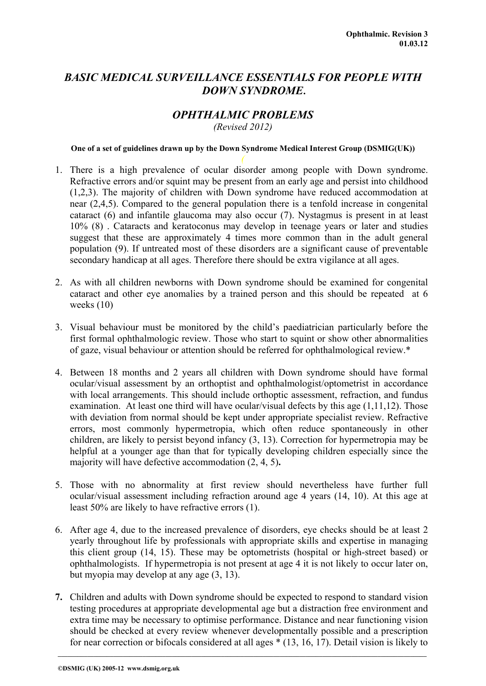# *BASIC MEDICAL SURVEILLANCE ESSENTIALS FOR PEOPLE WITH DOWN SYNDROME***.**

## *OPHTHALMIC PROBLEMS*

*(Revised 2012)* 

### **One of a set of guidelines drawn up by the Down Syndrome Medical Interest Group (DSMIG(UK))**

- 1. There is a high prevalence of ocular disorder among people with Down syndrome. Refractive errors and/or squint may be present from an early age and persist into childhood (1,2,3). The majority of children with Down syndrome have reduced accommodation at near (2,4,5). Compared to the general population there is a tenfold increase in congenital cataract (6) and infantile glaucoma may also occur (7). Nystagmus is present in at least 10% (8) . Cataracts and keratoconus may develop in teenage years or later and studies suggest that these are approximately 4 times more common than in the adult general population (9). If untreated most of these disorders are a significant cause of preventable secondary handicap at all ages. Therefore there should be extra vigilance at all ages.
- 2. As with all children newborns with Down syndrome should be examined for congenital cataract and other eye anomalies by a trained person and this should be repeated at 6 weeks (10)
- 3. Visual behaviour must be monitored by the child's paediatrician particularly before the first formal ophthalmologic review. Those who start to squint or show other abnormalities of gaze, visual behaviour or attention should be referred for ophthalmological review.\*
- 4. Between 18 months and 2 years all children with Down syndrome should have formal ocular/visual assessment by an orthoptist and ophthalmologist/optometrist in accordance with local arrangements. This should include orthoptic assessment, refraction, and fundus examination. At least one third will have ocular/visual defects by this age (1,11,12). Those with deviation from normal should be kept under appropriate specialist review. Refractive errors, most commonly hypermetropia, which often reduce spontaneously in other children, are likely to persist beyond infancy (3, 13). Correction for hypermetropia may be helpful at a younger age than that for typically developing children especially since the majority will have defective accommodation (2, 4, 5)**.**
- 5. Those with no abnormality at first review should nevertheless have further full ocular/visual assessment including refraction around age 4 years (14, 10). At this age at least 50% are likely to have refractive errors (1).
- 6. After age 4, due to the increased prevalence of disorders, eye checks should be at least 2 yearly throughout life by professionals with appropriate skills and expertise in managing this client group (14, 15). These may be optometrists (hospital or high-street based) or ophthalmologists. If hypermetropia is not present at age 4 it is not likely to occur later on, but myopia may develop at any age (3, 13).
- **7.** Children and adults with Down syndrome should be expected to respond to standard vision testing procedures at appropriate developmental age but a distraction free environment and extra time may be necessary to optimise performance. Distance and near functioning vision should be checked at every review whenever developmentally possible and a prescription for near correction or bifocals considered at all ages \* (13, 16, 17). Detail vision is likely to

**\_\_\_\_\_\_\_\_\_\_\_\_\_\_\_\_\_\_\_\_\_\_\_\_\_\_\_\_\_\_\_\_\_\_\_\_\_\_\_\_\_\_\_\_\_\_\_\_\_\_\_\_\_\_\_\_\_\_\_\_\_\_\_\_\_\_\_\_\_\_\_\_\_\_\_\_\_\_\_\_\_\_\_\_\_\_\_\_\_\_\_\_\_\_\_\_\_\_\_\_\_\_\_\_\_\_\_\_\_\_\_\_\_**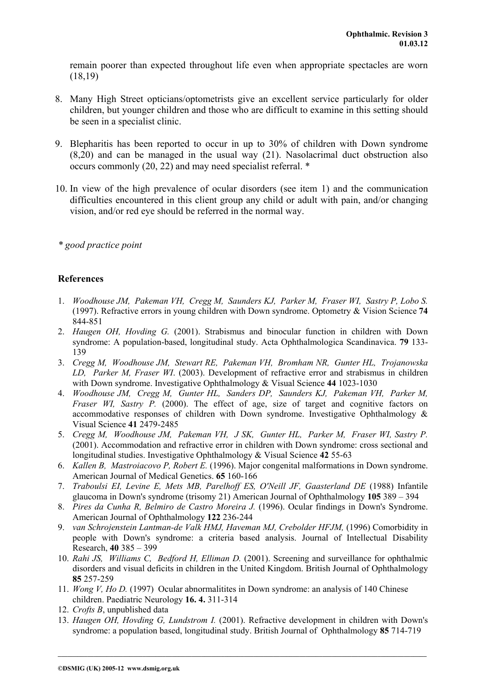remain poorer than expected throughout life even when appropriate spectacles are worn (18,19)

- 8. Many High Street opticians/optometrists give an excellent service particularly for older children, but younger children and those who are difficult to examine in this setting should be seen in a specialist clinic.
- 9. Blepharitis has been reported to occur in up to 30% of children with Down syndrome (8,20) and can be managed in the usual way (21). Nasolacrimal duct obstruction also occurs commonly (20, 22) and may need specialist referral. \*
- 10. In view of the high prevalence of ocular disorders (see item 1) and the communication difficulties encountered in this client group any child or adult with pain, and/or changing vision, and/or red eye should be referred in the normal way.

*\* good practice point* 

## **References**

- 1. *Woodhouse JM, Pakeman VH, Cregg M, Saunders KJ, Parker M, Fraser WI, Sastry P, Lobo S.* (1997). Refractive errors in young children with Down syndrome. Optometry & Vision Science **74** 844-851
- 2. *Haugen OH, Hovding G.* (2001). Strabismus and binocular function in children with Down syndrome: A population-based, longitudinal study. Acta Ophthalmologica Scandinavica. **79** 133- 139
- 3. *Cregg M, Woodhouse JM, Stewart RE, Pakeman VH, Bromham NR, Gunter HL, Trojanowska LD, Parker M, Fraser WI*. (2003). Development of refractive error and strabismus in children with Down syndrome. Investigative Ophthalmology & Visual Science **44** 1023-1030
- 4. *Woodhouse JM, Cregg M, Gunter HL, Sanders DP, Saunders KJ, Pakeman VH, Parker M, Fraser WI, Sastry P.* (2000). The effect of age, size of target and cognitive factors on accommodative responses of children with Down syndrome. Investigative Ophthalmology & Visual Science **41** 2479-2485
- 5. *Cregg M, Woodhouse JM, Pakeman VH, J SK, Gunter HL, Parker M, Fraser WI, Sastry P.* (2001). Accommodation and refractive error in children with Down syndrome: cross sectional and longitudinal studies. Investigative Ophthalmology & Visual Science **42** 55-63
- 6. *Kallen B, Mastroiacovo P, Robert E.* (1996). Major congenital malformations in Down syndrome. American Journal of Medical Genetics. **65** 160-166
- 7. *Traboulsi EI, Levine E, Mets MB, Parelhoff ES, O'Neill JF, Gaasterland DE* (1988) Infantile glaucoma in Down's syndrome (trisomy 21) American Journal of Ophthalmology **105** 389 – 394
- 8. *Pires da Cunha R, Belmiro de Castro Moreira J.* (1996). Ocular findings in Down's Syndrome. American Journal of Ophthalmology **122** 236-244
- 9. *van Schrojenstein Lantman-de Valk HMJ, Haveman MJ, Crebolder HFJM,* (1996) Comorbidity in people with Down's syndrome: a criteria based analysis. Journal of Intellectual Disability Research, **40** 385 – 399
- 10. *Rahi JS, Williams C, Bedford H, Elliman D.* (2001). Screening and surveillance for ophthalmic disorders and visual deficits in children in the United Kingdom. British Journal of Ophthalmology **85** 257-259
- 11. *Wong V, Ho D.* (1997) Ocular abnormalitites in Down syndrome: an analysis of 140 Chinese children. Paediatric Neurology **16. 4.** 311-314
- 12. *Crofts B*, unpublished data
- 13. *Haugen OH, Hovding G, Lundstrom I.* (2001). Refractive development in children with Down's syndrome: a population based, longitudinal study. British Journal of Ophthalmology **85** 714-719

**\_\_\_\_\_\_\_\_\_\_\_\_\_\_\_\_\_\_\_\_\_\_\_\_\_\_\_\_\_\_\_\_\_\_\_\_\_\_\_\_\_\_\_\_\_\_\_\_\_\_\_\_\_\_\_\_\_\_\_\_\_\_\_\_\_\_\_\_\_\_\_\_\_\_\_\_\_\_\_\_\_\_\_\_\_\_\_\_\_\_\_\_\_\_\_\_\_\_\_\_\_\_\_\_\_\_\_\_\_\_\_\_\_**